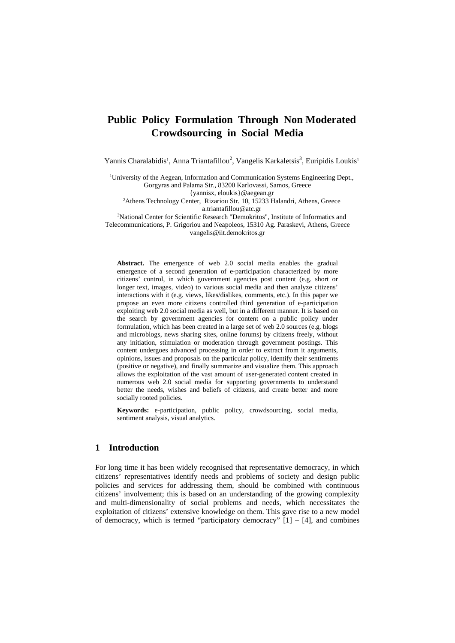# **Public Policy Formulation Through Non Moderated Crowdsourcing in Social Media**

Yannis Charalabidis<sup>1</sup>, Anna Triantafillou<sup>2</sup>, Vangelis Karkaletsis<sup>3</sup>, Euripidis Loukis<sup>1</sup>

1 University of the Aegean, Information and Communication Systems Engineering Dept., Gorgyras and Palama Str., 83200 Karlovassi, Samos, Greece

{yannisx, eloukis}@aegean.gr 2 Athens Technology Center, Rizariou Str. 10, 15233 Halandri, Athens, Greece

a.triantafillou@atc.gr<br>3National Center for Scientific Research "Demokritos", Institute of Informatics and Telecommunications, P. Grigoriou and Neapoleos, 15310 Ag. Paraskevi, Athens, Greece vangelis@iit.demokritos.gr

**Abstract.** The emergence of web 2.0 social media enables the gradual emergence of a second generation of e-participation characterized by more citizens' control, in which government agencies post content (e.g. short or longer text, images, video) to various social media and then analyze citizens' interactions with it (e.g. views, likes/dislikes, comments, etc.). In this paper we propose an even more citizens controlled third generation of e-participation exploiting web 2.0 social media as well, but in a different manner. It is based on the search by government agencies for content on a public policy under formulation, which has been created in a large set of web 2.0 sources (e.g. blogs and microblogs, news sharing sites, online forums) by citizens freely, without any initiation, stimulation or moderation through government postings. This content undergoes advanced processing in order to extract from it arguments, opinions, issues and proposals on the particular policy, identify their sentiments (positive or negative), and finally summarize and visualize them. This approach allows the exploitation of the vast amount of user-generated content created in numerous web 2.0 social media for supporting governments to understand better the needs, wishes and beliefs of citizens, and create better and more socially rooted policies.

**Keywords:** e-participation, public policy, crowdsourcing, social media, sentiment analysis, visual analytics.

# **1 Introduction**

For long time it has been widely recognised that representative democracy, in which citizens' representatives identify needs and problems of society and design public policies and services for addressing them, should be combined with continuous citizens' involvement; this is based on an understanding of the growing complexity and multi-dimensionality of social problems and needs, which necessitates the exploitation of citizens' extensive knowledge on them. This gave rise to a new model of democracy, which is termed "participatory democracy"  $[1] - [4]$ , and combines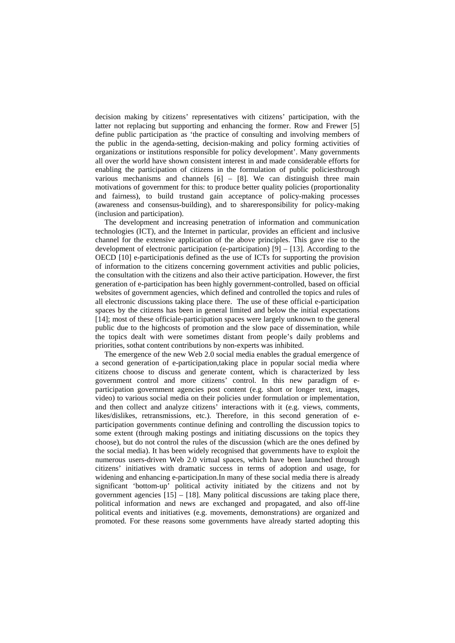decision making by citizens' representatives with citizens' participation, with the latter not replacing but supporting and enhancing the former. Row and Frewer [5] define public participation as 'the practice of consulting and involving members of the public in the agenda-setting, decision-making and policy forming activities of organizations or institutions responsible for policy development'. Many governments all over the world have shown consistent interest in and made considerable efforts for enabling the participation of citizens in the formulation of public policiesthrough various mechanisms and channels [6] – [8]. We can distinguish three main motivations of government for this: to produce better quality policies (proportionality and fairness), to build trustand gain acceptance of policy-making processes (awareness and consensus-building), and to shareresponsibility for policy-making (inclusion and participation).

The development and increasing penetration of information and communication technologies (ICT), and the Internet in particular, provides an efficient and inclusive channel for the extensive application of the above principles. This gave rise to the development of electronic participation (e-participation) [9] – [13]. According to the OECD [10] e-participationis defined as the use of ICTs for supporting the provision of information to the citizens concerning government activities and public policies, the consultation with the citizens and also their active participation. However, the first generation of e-participation has been highly government-controlled, based on official websites of government agencies, which defined and controlled the topics and rules of all electronic discussions taking place there. The use of these official e-participation spaces by the citizens has been in general limited and below the initial expectations [14]; most of these officiale-participation spaces were largely unknown to the general public due to the highcosts of promotion and the slow pace of dissemination, while the topics dealt with were sometimes distant from people's daily problems and priorities, sothat content contributions by non-experts was inhibited.

The emergence of the new Web 2.0 social media enables the gradual emergence of a second generation of e-participation,taking place in popular social media where citizens choose to discuss and generate content, which is characterized by less government control and more citizens' control. In this new paradigm of eparticipation government agencies post content (e.g. short or longer text, images, video) to various social media on their policies under formulation or implementation, and then collect and analyze citizens' interactions with it (e.g. views, comments, likes/dislikes, retransmissions, etc.). Therefore, in this second generation of eparticipation governments continue defining and controlling the discussion topics to some extent (through making postings and initiating discussions on the topics they choose), but do not control the rules of the discussion (which are the ones defined by the social media). It has been widely recognised that governments have to exploit the numerous users-driven Web 2.0 virtual spaces, which have been launched through citizens' initiatives with dramatic success in terms of adoption and usage, for widening and enhancing e-participation.In many of these social media there is already significant 'bottom-up' political activity initiated by the citizens and not by government agencies  $[15] - [18]$ . Many political discussions are taking place there, political information and news are exchanged and propagated, and also off-line political events and initiatives (e.g. movements, demonstrations) are organized and promoted. For these reasons some governments have already started adopting this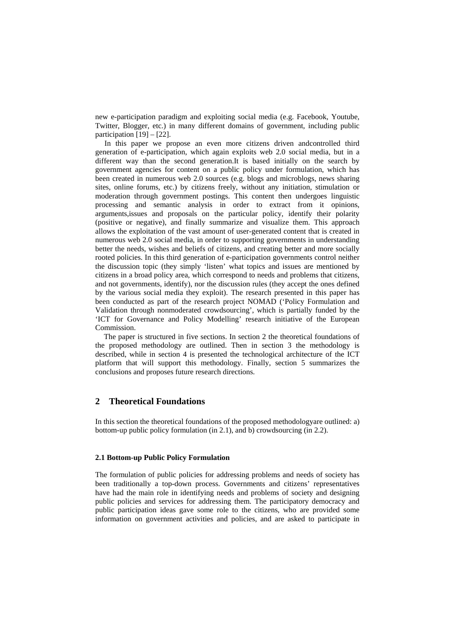new e-participation paradigm and exploiting social media (e.g. Facebook, Youtube, Twitter, Blogger, etc.) in many different domains of government, including public participation  $[19] - [22]$ .

In this paper we propose an even more citizens driven andcontrolled third generation of e-participation, which again exploits web 2.0 social media, but in a different way than the second generation.It is based initially on the search by government agencies for content on a public policy under formulation, which has been created in numerous web 2.0 sources (e.g. blogs and microblogs, news sharing sites, online forums, etc.) by citizens freely, without any initiation, stimulation or moderation through government postings. This content then undergoes linguistic processing and semantic analysis in order to extract from it opinions, arguments,issues and proposals on the particular policy, identify their polarity (positive or negative), and finally summarize and visualize them. This approach allows the exploitation of the vast amount of user-generated content that is created in numerous web 2.0 social media, in order to supporting governments in understanding better the needs, wishes and beliefs of citizens, and creating better and more socially rooted policies. In this third generation of e-participation governments control neither the discussion topic (they simply 'listen' what topics and issues are mentioned by citizens in a broad policy area, which correspond to needs and problems that citizens, and not governments, identify), nor the discussion rules (they accept the ones defined by the various social media they exploit). The research presented in this paper has been conducted as part of the research project NOMAD ('Policy Formulation and Validation through nonmoderated crowdsourcing', which is partially funded by the 'ICT for Governance and Policy Modelling' research initiative of the European Commission.

The paper is structured in five sections. In section 2 the theoretical foundations of the proposed methodology are outlined. Then in section 3 the methodology is described, while in section 4 is presented the technological architecture of the ICT platform that will support this methodology. Finally, section 5 summarizes the conclusions and proposes future research directions.

# **2 Theoretical Foundations**

In this section the theoretical foundations of the proposed methodologyare outlined: a) bottom-up public policy formulation (in 2.1), and b) crowdsourcing (in 2.2).

#### **2.1 Bottom-up Public Policy Formulation**

The formulation of public policies for addressing problems and needs of society has been traditionally a top-down process. Governments and citizens' representatives have had the main role in identifying needs and problems of society and designing public policies and services for addressing them. The participatory democracy and public participation ideas gave some role to the citizens, who are provided some information on government activities and policies, and are asked to participate in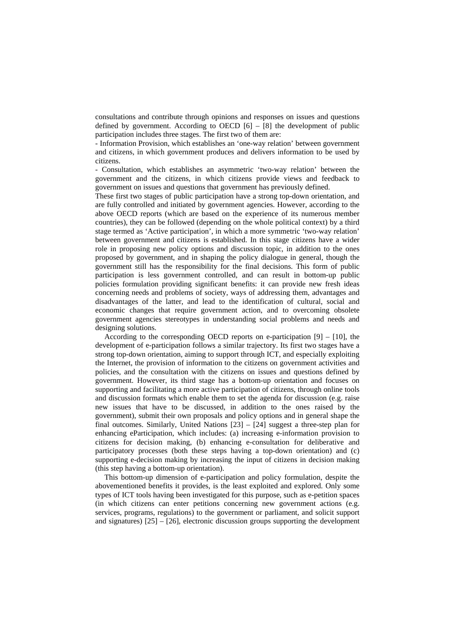consultations and contribute through opinions and responses on issues and questions defined by government. According to OECD  $[6] - [8]$  the development of public participation includes three stages. The first two of them are:

- Information Provision, which establishes an 'one-way relation' between government and citizens, in which government produces and delivers information to be used by citizens.

- Consultation, which establishes an asymmetric 'two-way relation' between the government and the citizens, in which citizens provide views and feedback to government on issues and questions that government has previously defined.

These first two stages of public participation have a strong top-down orientation, and are fully controlled and initiated by government agencies. However, according to the above OECD reports (which are based on the experience of its numerous member countries), they can be followed (depending on the whole political context) by a third stage termed as 'Active participation', in which a more symmetric 'two-way relation' between government and citizens is established. In this stage citizens have a wider role in proposing new policy options and discussion topic, in addition to the ones proposed by government, and in shaping the policy dialogue in general, though the government still has the responsibility for the final decisions. This form of public participation is less government controlled, and can result in bottom-up public policies formulation providing significant benefits: it can provide new fresh ideas concerning needs and problems of society, ways of addressing them, advantages and disadvantages of the latter, and lead to the identification of cultural, social and economic changes that require government action, and to overcoming obsolete government agencies stereotypes in understanding social problems and needs and designing solutions.

According to the corresponding OECD reports on e-participation [9] – [10], the development of e-participation follows a similar trajectory. Its first two stages have a strong top-down orientation, aiming to support through ICT, and especially exploiting the Internet, the provision of information to the citizens on government activities and policies, and the consultation with the citizens on issues and questions defined by government. However, its third stage has a bottom-up orientation and focuses on supporting and facilitating a more active participation of citizens, through online tools and discussion formats which enable them to set the agenda for discussion (e.g. raise new issues that have to be discussed, in addition to the ones raised by the government), submit their own proposals and policy options and in general shape the final outcomes. Similarly, United Nations [23] – [24] suggest a three-step plan for enhancing eParticipation, which includes: (a) increasing e-information provision to citizens for decision making, (b) enhancing e-consultation for deliberative and participatory processes (both these steps having a top-down orientation) and (c) supporting e-decision making by increasing the input of citizens in decision making (this step having a bottom-up orientation).

This bottom-up dimension of e-participation and policy formulation, despite the abovementioned benefits it provides, is the least exploited and explored. Only some types of ICT tools having been investigated for this purpose, such as e-petition spaces (in which citizens can enter petitions concerning new government actions (e.g. services, programs, regulations) to the government or parliament, and solicit support and signatures) [25] – [26], electronic discussion groups supporting the development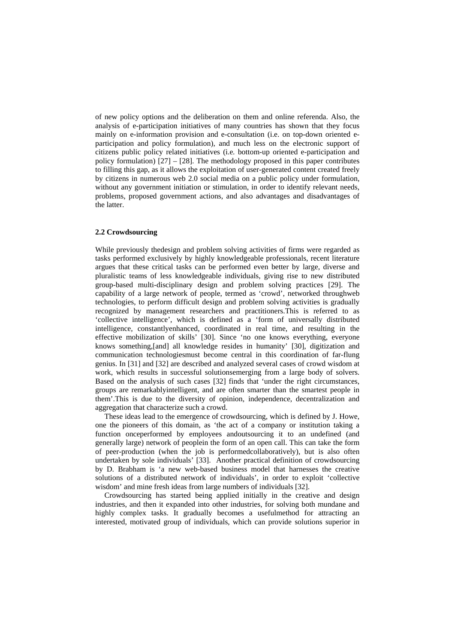of new policy options and the deliberation on them and online referenda. Also, the analysis of e-participation initiatives of many countries has shown that they focus mainly on e-information provision and e-consultation (i.e. on top-down oriented eparticipation and policy formulation), and much less on the electronic support of citizens public policy related initiatives (i.e. bottom-up oriented e-participation and policy formulation) [27] – [28]. The methodology proposed in this paper contributes to filling this gap, as it allows the exploitation of user-generated content created freely by citizens in numerous web 2.0 social media on a public policy under formulation, without any government initiation or stimulation, in order to identify relevant needs, problems, proposed government actions, and also advantages and disadvantages of the latter.

#### **2.2 Crowdsourcing**

While previously thedesign and problem solving activities of firms were regarded as tasks performed exclusively by highly knowledgeable professionals, recent literature argues that these critical tasks can be performed even better by large, diverse and pluralistic teams of less knowledgeable individuals, giving rise to new distributed group-based multi-disciplinary design and problem solving practices [29]. The capability of a large network of people, termed as 'crowd', networked throughweb technologies, to perform difficult design and problem solving activities is gradually recognized by management researchers and practitioners.This is referred to as 'collective intelligence', which is defined as a 'form of universally distributed intelligence, constantlyenhanced, coordinated in real time, and resulting in the effective mobilization of skills' [30]. Since 'no one knows everything, everyone knows something,[and] all knowledge resides in humanity' [30], digitization and communication technologiesmust become central in this coordination of far-flung genius. In [31] and [32] are described and analyzed several cases of crowd wisdom at work, which results in successful solutionsemerging from a large body of solvers. Based on the analysis of such cases [32] finds that 'under the right circumstances, groups are remarkablyintelligent, and are often smarter than the smartest people in them'.This is due to the diversity of opinion, independence, decentralization and aggregation that characterize such a crowd.

These ideas lead to the emergence of crowdsourcing, which is defined by J. Howe, one the pioneers of this domain, as 'the act of a company or institution taking a function onceperformed by employees andoutsourcing it to an undefined (and generally large) network of peoplein the form of an open call. This can take the form of peer-production (when the job is performedcollaboratively), but is also often undertaken by sole individuals' [33]. Another practical definition of crowdsourcing by D. Brabham is 'a new web-based business model that harnesses the creative solutions of a distributed network of individuals', in order to exploit 'collective wisdom' and mine fresh ideas from large numbers of individuals [32].

Crowdsourcing has started being applied initially in the creative and design industries, and then it expanded into other industries, for solving both mundane and highly complex tasks. It gradually becomes a usefulmethod for attracting an interested, motivated group of individuals, which can provide solutions superior in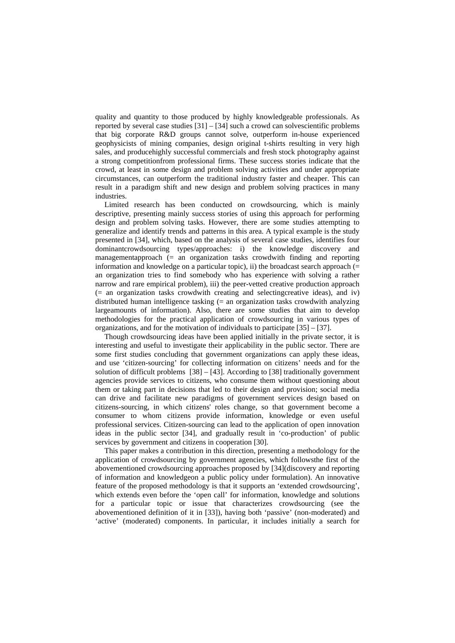quality and quantity to those produced by highly knowledgeable professionals. As reported by several case studies  $[31] - [34]$  such a crowd can solvescientific problems that big corporate R&D groups cannot solve, outperform in-house experienced geophysicists of mining companies, design original t-shirts resulting in very high sales, and producehighly successful commercials and fresh stock photography against a strong competitionfrom professional firms. These success stories indicate that the crowd, at least in some design and problem solving activities and under appropriate circumstances, can outperform the traditional industry faster and cheaper. This can result in a paradigm shift and new design and problem solving practices in many industries.

Limited research has been conducted on crowdsourcing, which is mainly descriptive, presenting mainly success stories of using this approach for performing design and problem solving tasks. However, there are some studies attempting to generalize and identify trends and patterns in this area. A typical example is the study presented in [34], which, based on the analysis of several case studies, identifies four dominantcrowdsourcing types/approaches: i) the knowledge discovery and managementapproach (= an organization tasks crowdwith finding and reporting information and knowledge on a particular topic), ii) the broadcast search approach  $(=$ an organization tries to find somebody who has experience with solving a rather narrow and rare empirical problem), iii) the peer-vetted creative production approach (= an organization tasks crowdwith creating and selectingcreative ideas), and iv) distributed human intelligence tasking (= an organization tasks crowdwith analyzing largeamounts of information). Also, there are some studies that aim to develop methodologies for the practical application of crowdsourcing in various types of organizations, and for the motivation of individuals to participate [35] – [37].

Though crowdsourcing ideas have been applied initially in the private sector, it is interesting and useful to investigate their applicability in the public sector. There are some first studies concluding that government organizations can apply these ideas, and use 'citizen-sourcing' for collecting information on citizens' needs and for the solution of difficult problems [38] – [43]. According to [38] traditionally government agencies provide services to citizens, who consume them without questioning about them or taking part in decisions that led to their design and provision; social media can drive and facilitate new paradigms of government services design based on citizens-sourcing, in which citizens' roles change, so that government become a consumer to whom citizens provide information, knowledge or even useful professional services. Citizen-sourcing can lead to the application of open innovation ideas in the public sector [34], and gradually result in 'co-production' of public services by government and citizens in cooperation [30].

This paper makes a contribution in this direction, presenting a methodology for the application of crowdsourcing by government agencies, which followsthe first of the abovementioned crowdsourcing approaches proposed by [34](discovery and reporting of information and knowledgeon a public policy under formulation). An innovative feature of the proposed methodology is that it supports an 'extended crowdsourcing', which extends even before the 'open call' for information, knowledge and solutions for a particular topic or issue that characterizes crowdsourcing (see the abovementioned definition of it in [33]), having both 'passive' (non-moderated) and 'active' (moderated) components. In particular, it includes initially a search for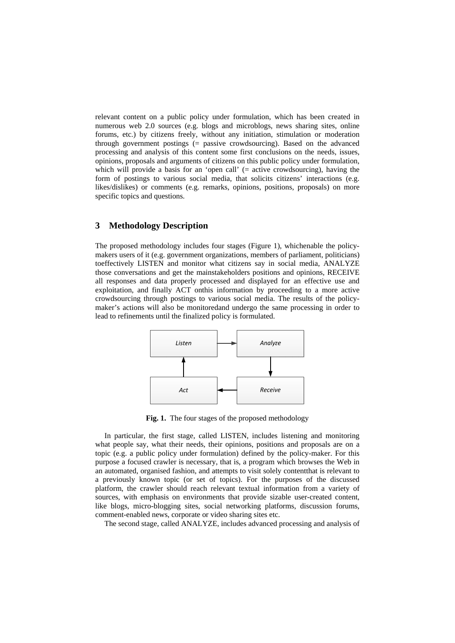relevant content on a public policy under formulation, which has been created in numerous web 2.0 sources (e.g. blogs and microblogs, news sharing sites, online forums, etc.) by citizens freely, without any initiation, stimulation or moderation through government postings (= passive crowdsourcing). Based on the advanced processing and analysis of this content some first conclusions on the needs, issues, opinions, proposals and arguments of citizens on this public policy under formulation, which will provide a basis for an 'open call'  $(=$  active crowdsourcing), having the form of postings to various social media, that solicits citizens' interactions (e.g. likes/dislikes) or comments (e.g. remarks, opinions, positions, proposals) on more specific topics and questions.

# **3 Methodology Description**

The proposed methodology includes four stages (Figure 1), whichenable the policymakers users of it (e.g. government organizations, members of parliament, politicians) toeffectively LISTEN and monitor what citizens say in social media, ANALYZE those conversations and get the mainstakeholders positions and opinions, RECEIVE all responses and data properly processed and displayed for an effective use and exploitation, and finally ACT onthis information by proceeding to a more active crowdsourcing through postings to various social media. The results of the policymaker's actions will also be monitoredand undergo the same processing in order to lead to refinements until the finalized policy is formulated.



**Fig. 1.** The four stages of the proposed methodology

In particular, the first stage, called LISTEN, includes listening and monitoring what people say, what their needs, their opinions, positions and proposals are on a topic (e.g. a public policy under formulation) defined by the policy-maker. For this purpose a focused crawler is necessary, that is, a program which browses the Web in an automated, organised fashion, and attempts to visit solely contentthat is relevant to a previously known topic (or set of topics). For the purposes of the discussed platform, the crawler should reach relevant textual information from a variety of sources, with emphasis on environments that provide sizable user-created content, like blogs, micro-blogging sites, social networking platforms, discussion forums, comment-enabled news, corporate or video sharing sites etc.

The second stage, called ANALYZE, includes advanced processing and analysis of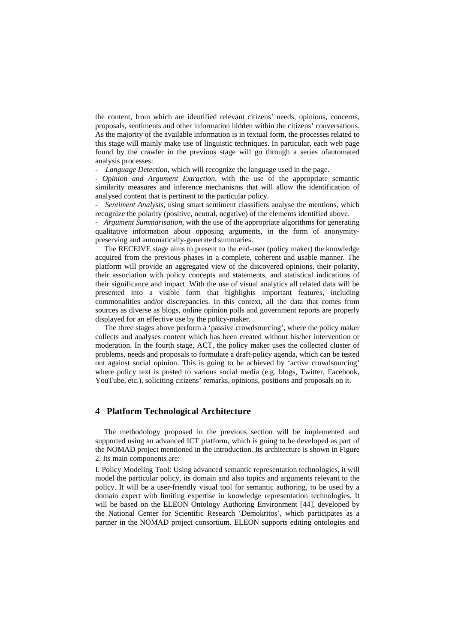the content, from which are identified relevant citizens' needs, opinions, concerns, proposals, sentiments and other information hidden within the citizens' conversations. As the majority of the available information is in textual form, the processes related to this stage will mainly make use of linguistic techniques. In particular, each web page found by the crawler in the previous stage will go through a series ofautomated analysis processes:

Language Detection, which will recognize the language used in the page.

- *Opinion and Argument Extraction*, with the use of the appropriate semantic similarity measures and inference mechanisms that will allow the identification of analysed content that is pertinent to the particular policy.

- *Sentiment Analysis*, using smart sentiment classifiers analyse the mentions, which recognize the polarity (positive, neutral, negative) of the elements identified above.

- *Argument Summarisation*, with the use of the appropriate algorithms for generating qualitative information about opposing arguments, in the form of anonymitypreserving and automatically-generated summaries.

The RECEIVE stage aims to present to the end-user (policy maker) the knowledge acquired from the previous phases in a complete, coherent and usable manner. The platform will provide an aggregated view of the discovered opinions, their polarity, their association with policy concepts and statements, and statistical indications of their significance and impact. With the use of visual analytics all related data will be presented into a visible form that highlights important features, including commonalities and/or discrepancies. In this context, all the data that comes from sources as diverse as blogs, online opinion polls and government reports are properly displayed for an effective use by the policy-maker.

The three stages above perform a 'passive crowdsourcing', where the policy maker collects and analyses content which has been created without his/her intervention or moderation. In the fourth stage, ACT, the policy maker uses the collected cluster of problems, needs and proposals to formulate a draft-policy agenda, which can be tested out against social opinion. This is going to be achieved by 'active crowdsourcing' where policy text is posted to various social media (e.g. blogs, Twitter, Facebook, YouTube, etc.), soliciting citizens' remarks, opinions, positions and proposals on it.

## **4 Platform Technological Architecture**

The methodology proposed in the previous section will be implemented and supported using an advanced ICT platform, which is going to be developed as part of the NOMAD project mentioned in the introduction. Its architecture is shown in Figure 2. Its main components are:

I. Policy Modeling Tool: Using advanced semantic representation technologies, it will model the particular policy, its domain and also topics and arguments relevant to the policy. It will be a user-friendly visual tool for semantic authoring, to be used by a domain expert with limiting expertise in knowledge representation technologies. It will be based on the ELEON Ontology Authoring Environment [44], developed by the National Center for Scientific Research 'Demokritos', which participates as a partner in the NOMAD project consortium. ELEON supports editing ontologies and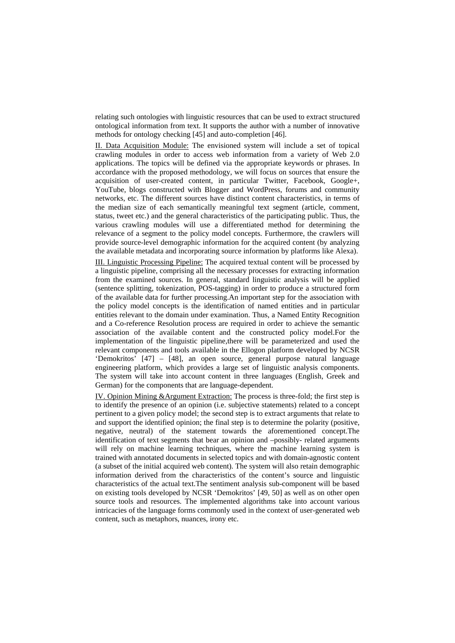relating such ontologies with linguistic resources that can be used to extract structured ontological information from text. It supports the author with a number of innovative methods for ontology checking [45] and auto-completion [46].

II. Data Acquisition Module: The envisioned system will include a set of topical crawling modules in order to access web information from a variety of Web 2.0 applications. The topics will be defined via the appropriate keywords or phrases. In accordance with the proposed methodology, we will focus on sources that ensure the acquisition of user-created content, in particular Twitter, Facebook, Google+, YouTube, blogs constructed with Blogger and WordPress, forums and community networks, etc. The different sources have distinct content characteristics, in terms of the median size of each semantically meaningful text segment (article, comment, status, tweet etc.) and the general characteristics of the participating public. Thus, the various crawling modules will use a differentiated method for determining the relevance of a segment to the policy model concepts. Furthermore, the crawlers will provide source-level demographic information for the acquired content (by analyzing the available metadata and incorporating source information by platforms like Alexa).

III. Linguistic Processing Pipeline: The acquired textual content will be processed by a linguistic pipeline, comprising all the necessary processes for extracting information from the examined sources. In general, standard linguistic analysis will be applied (sentence splitting, tokenization, POS-tagging) in order to produce a structured form of the available data for further processing.An important step for the association with the policy model concepts is the identification of named entities and in particular entities relevant to the domain under examination. Thus, a Named Entity Recognition and a Co-reference Resolution process are required in order to achieve the semantic association of the available content and the constructed policy model.For the implementation of the linguistic pipeline,there will be parameterized and used the relevant components and tools available in the Ellogon platform developed by NCSR 'Demokritos' [47] – [48], an open source, general purpose natural language engineering platform, which provides a large set of linguistic analysis components. The system will take into account content in three languages (English, Greek and German) for the components that are language-dependent.

IV. Opinion Mining &Argument Extraction: The process is three-fold; the first step is to identify the presence of an opinion (i.e. subjective statements) related to a concept pertinent to a given policy model; the second step is to extract arguments that relate to and support the identified opinion; the final step is to determine the polarity (positive, negative, neutral) of the statement towards the aforementioned concept.The identification of text segments that bear an opinion and –possibly- related arguments will rely on machine learning techniques, where the machine learning system is trained with annotated documents in selected topics and with domain-agnostic content (a subset of the initial acquired web content). The system will also retain demographic information derived from the characteristics of the content's source and linguistic characteristics of the actual text.The sentiment analysis sub-component will be based on existing tools developed by NCSR 'Demokritos' [49, 50] as well as on other open source tools and resources. The implemented algorithms take into account various intricacies of the language forms commonly used in the context of user-generated web content, such as metaphors, nuances, irony etc.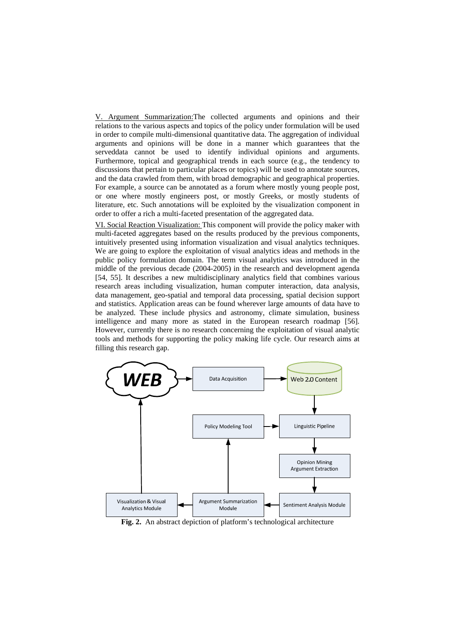V. Argument Summarization:The collected arguments and opinions and their relations to the various aspects and topics of the policy under formulation will be used in order to compile multi-dimensional quantitative data. The aggregation of individual arguments and opinions will be done in a manner which guarantees that the serveddata cannot be used to identify individual opinions and arguments. Furthermore, topical and geographical trends in each source (e.g., the tendency to discussions that pertain to particular places or topics) will be used to annotate sources, and the data crawled from them, with broad demographic and geographical properties. For example, a source can be annotated as a forum where mostly young people post, or one where mostly engineers post, or mostly Greeks, or mostly students of literature, etc. Such annotations will be exploited by the visualization component in order to offer a rich a multi-faceted presentation of the aggregated data.

VI. Social Reaction Visualization: This component will provide the policy maker with multi-faceted aggregates based on the results produced by the previous components, intuitively presented using information visualization and visual analytics techniques. We are going to explore the exploitation of visual analytics ideas and methods in the public policy formulation domain. The term visual analytics was introduced in the middle of the previous decade (2004-2005) in the research and development agenda [54, 55]. It describes a new multidisciplinary analytics field that combines various research areas including visualization, human computer interaction, data analysis, data management, geo-spatial and temporal data processing, spatial decision support and statistics. Application areas can be found wherever large amounts of data have to be analyzed. These include physics and astronomy, climate simulation, business intelligence and many more as stated in the European research roadmap [56]. However, currently there is no research concerning the exploitation of visual analytic tools and methods for supporting the policy making life cycle. Our research aims at filling this research gap.



**Fig. 2.** An abstract depiction of platform's technological architecture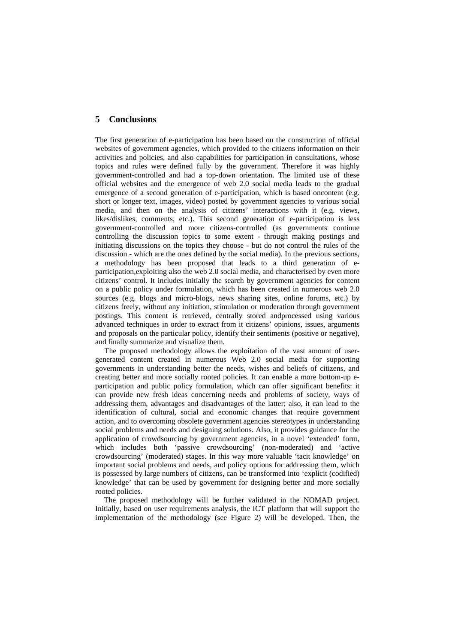## **5 Conclusions**

The first generation of e-participation has been based on the construction of official websites of government agencies, which provided to the citizens information on their activities and policies, and also capabilities for participation in consultations, whose topics and rules were defined fully by the government. Therefore it was highly government-controlled and had a top-down orientation. The limited use of these official websites and the emergence of web 2.0 social media leads to the gradual emergence of a second generation of e-participation, which is based oncontent (e.g. short or longer text, images, video) posted by government agencies to various social media, and then on the analysis of citizens' interactions with it (e.g. views, likes/dislikes, comments, etc.). This second generation of e-participation is less government-controlled and more citizens-controlled (as governments continue controlling the discussion topics to some extent - through making postings and initiating discussions on the topics they choose - but do not control the rules of the discussion - which are the ones defined by the social media). In the previous sections, a methodology has been proposed that leads to a third generation of eparticipation,exploiting also the web 2.0 social media, and characterised by even more citizens' control. It includes initially the search by government agencies for content on a public policy under formulation, which has been created in numerous web 2.0 sources (e.g. blogs and micro-blogs, news sharing sites, online forums, etc.) by citizens freely, without any initiation, stimulation or moderation through government postings. This content is retrieved, centrally stored andprocessed using various advanced techniques in order to extract from it citizens' opinions, issues, arguments and proposals on the particular policy, identify their sentiments (positive or negative), and finally summarize and visualize them.

The proposed methodology allows the exploitation of the vast amount of usergenerated content created in numerous Web 2.0 social media for supporting governments in understanding better the needs, wishes and beliefs of citizens, and creating better and more socially rooted policies. It can enable a more bottom-up eparticipation and public policy formulation, which can offer significant benefits: it can provide new fresh ideas concerning needs and problems of society, ways of addressing them, advantages and disadvantages of the latter; also, it can lead to the identification of cultural, social and economic changes that require government action, and to overcoming obsolete government agencies stereotypes in understanding social problems and needs and designing solutions. Also, it provides guidance for the application of crowdsourcing by government agencies, in a novel 'extended' form, which includes both 'passive crowdsourcing' (non-moderated) and 'active crowdsourcing' (moderated) stages. In this way more valuable 'tacit knowledge' on important social problems and needs, and policy options for addressing them, which is possessed by large numbers of citizens, can be transformed into 'explicit (codified) knowledge' that can be used by government for designing better and more socially rooted policies.

The proposed methodology will be further validated in the NOMAD project. Initially, based on user requirements analysis, the ICT platform that will support the implementation of the methodology (see Figure 2) will be developed. Then, the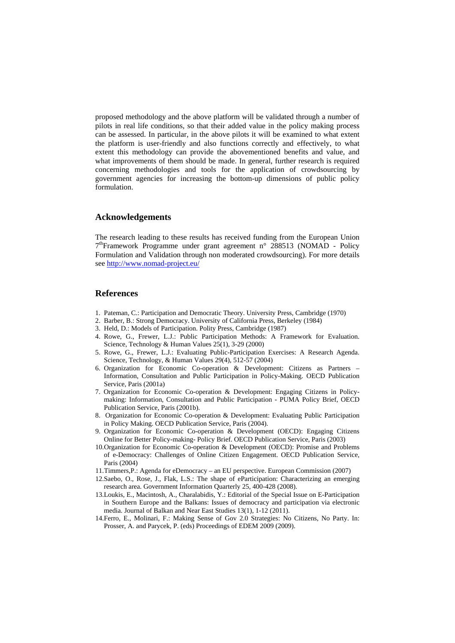proposed methodology and the above platform will be validated through a number of pilots in real life conditions, so that their added value in the policy making process can be assessed. In particular, in the above pilots it will be examined to what extent the platform is user-friendly and also functions correctly and effectively, to what extent this methodology can provide the abovementioned benefits and value, and what improvements of them should be made. In general, further research is required concerning methodologies and tools for the application of crowdsourcing by government agencies for increasing the bottom-up dimensions of public policy formulation.

## **Acknowledgements**

The research leading to these results has received funding from the European Union  $7<sup>th</sup>$ Framework Programme under grant agreement n° 288513 (NOMAD - Policy Formulation and Validation through non moderated crowdsourcing). For more details see<http://www.nomad-project.eu/>

## **References**

- 1. Pateman, C.: Participation and Democratic Theory. University Press, Cambridge (1970)
- 2. Barber, B.: Strong Democracy. University of California Press, Berkeley (1984)
- 3. Held, D.: Models of Participation. Polity Press, Cambridge (1987)
- 4. Rowe, G., Frewer, L.J.: Public Participation Methods: A Framework for Evaluation. Science, Technology & Human Values 25(1), 3-29 (2000)
- 5. Rowe, G., Frewer, L.J.: Evaluating Public-Participation Exercises: A Research Agenda. Science, Technology, & Human Values 29(4), 512-57 (2004)
- 6. Organization for Economic Co-operation & Development: Citizens as Partners Information, Consultation and Public Participation in Policy-Making. OECD Publication Service, Paris (2001a)
- 7. Organization for Economic Co-operation & Development: Engaging Citizens in Policymaking: Information, Consultation and Public Participation - PUMA Policy Brief, OECD Publication Service, Paris (2001b).
- 8. Organization for Economic Co-operation & Development: Evaluating Public Participation in Policy Making. OECD Publication Service, Paris (2004).
- 9. Organization for Economic Co-operation & Development (OECD): Engaging Citizens Online for Better Policy-making- Policy Brief. OECD Publication Service, Paris (2003)
- 10. Organization for Economic Co-operation & Development (OECD): Promise and Problems of e-Democracy: Challenges of Online Citizen Engagement. OECD Publication Service, Paris (2004)
- 11. Timmers,P.: Agenda for eDemocracy an EU perspective. European Commission (2007)
- 12.Saebo, O., Rose, J., Flak, L.S.: The shape of eParticipation: Characterizing an emerging research area. Government Information Quarterly 25, 400-428 (2008).
- 13.Loukis, E., Macintosh, A., Charalabidis, Y.: Editorial of the Special Issue on E-Participation in Southern Europe and the Balkans: Issues of democracy and participation via electronic media. Journal of Balkan and Near East Studies 13(1), 1-12 (2011).
- 14. Ferro, E., Molinari, F.: Making Sense of Gov 2.0 Strategies: No Citizens, No Party. In: Prosser, A. and Parycek, P. (eds) Proceedings of EDEM 2009 (2009).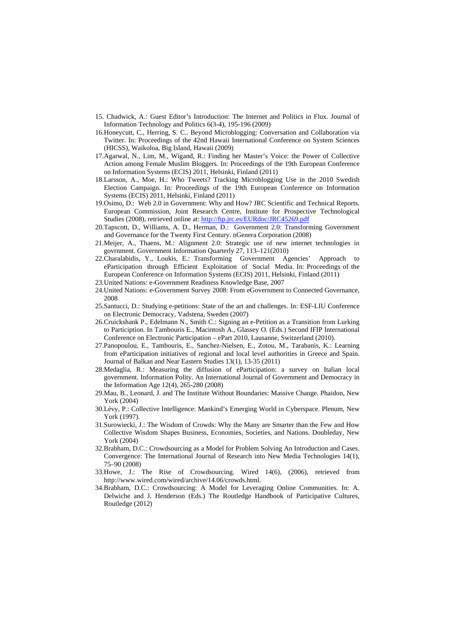- 15. Chadwick, A.: Guest Editor's Introduction: The Internet and Politics in Flux. Journal of Information Technology and Politics 6(3-4), 195-196 (2009)
- 16.Honeycutt, C., Herring, S. C.. Beyond Microblogging: Conversation and Collaboration via Twitter. In: Proceedings of the 42nd Hawaii International Conference on System Sciences (HICSS), Waikoloa, Big Island, Hawaii (2009)
- 17.Agarwal, N., Lim, M., Wigand, R.: Finding her Master's Voice: the Power of Collective Action among Female Muslim Bloggers. In: Proceedings of the 19th European Conference on Information Systems (ECIS) 2011, Helsinki, Finland (2011)
- 18.Larsson, A., Moe, H.: Who Tweets? Tracking Microblogging Use in the 2010 Swedish Election Campaign. In: Proceedings of the 19th European Conference on Information Systems (ECIS) 2011, Helsinki, Finland (2011)
- 19. Osimo, D.: Web 2.0 in Government: Why and How? JRC Scientific and Technical Reports. European Commission, Joint Research Centre, Institute for Prospective Technological Studies (2008), retrieved online at: <http://ftp.jrc.es/EURdoc/JRC45269.pdf>
- 20.Tapscott, D., Williams, A. D., Herman, D.: Government 2.0: Transforming Government and Governance for the Twenty First Century. nGenera Corporation (2008)
- 21.Meijer, A., Thaens, M.: Alignment 2.0: Strategic use of new internet technologies in govrnment. Government Information Quarterly 27, 113–121(2010)
- 22. Charalabidis, Y., Loukis, E.: Transforming Government Agencies' Approach to eParticipation through Efficient Exploitation of Social Media. In: Proceedings of the European Conference on Information Systems (ECIS) 2011, Helsinki, Finland (2011)
- 23.United Nations: e-Government Readiness Knowledge Base, 2007
- 24.United Nations: e-Government Survey 2008: From eGovernment to Connected Governance, 2008
- 25.Santucci, D.: Studying e-petitions: State of the art and challenges. In: ESF-LIU Conference on Electronic Democracy, Vadstena, Sweden (2007)
- 26.Cruickshank P., Edelmann N., Smith C.: Signing an e-Petition as a Transition from Lurking to Particiption. In Tambouris E., Macintosh A., Glassey O. (Eds.) Second IFIP International Conference on Electronic Participation – ePart 2010, Lausanne, Switzerland (2010).
- 27.Panopoulou, E., Tambouris, E., Sanchez-Nielsen, E., Zotou, M., Tarabanis, K.: Learning from eParticipation initiatives of regional and local level authorities in Greece and Spain. Journal of Balkan and Near Eastern Studies 13(1), 13-35 (2011)
- 28.Medaglia, R.: Measuring the diffusion of eParticipation: a survey on Italian local government. Information Polity. An International Journal of Government and Democracy in the Information Age 12(4), 265-280 (2008)
- 29.Mau, B., Leonard, J. and The Institute Without Boundaries: Massive Change. Phaidon, New York (2004)
- 30.Lévy, P.: Collective Intelligence: Mankind's Emerging World in Cyberspace. Plenum, New York (1997).
- 31.Surowiecki, J.: The Wisdom of Crowds: Why the Many are Smarter than the Few and How Collective Wisdom Shapes Business, Economies, Societies, and Nations. Doubleday, New York (2004)
- 32.Brabham, D.C.: Crowdsourcing as a Model for Problem Solving An Introduction and Cases. Convergence: The International Journal of Research into New Media Technologies 14(1), 75–90 (2008)
- 33.Howe, J.: The Rise of Crowdsourcing. Wired 14(6), (2006), retrieved from http://www.wired.com/wired/archive/14.06/crowds.html.
- 34.Brabham, D.C.: Crowdsourcing: A Model for Leveraging Online Communities. In: A. Delwiche and J. Henderson (Eds.) The Routledge Handbook of Participative Cultures, Routledge (2012)